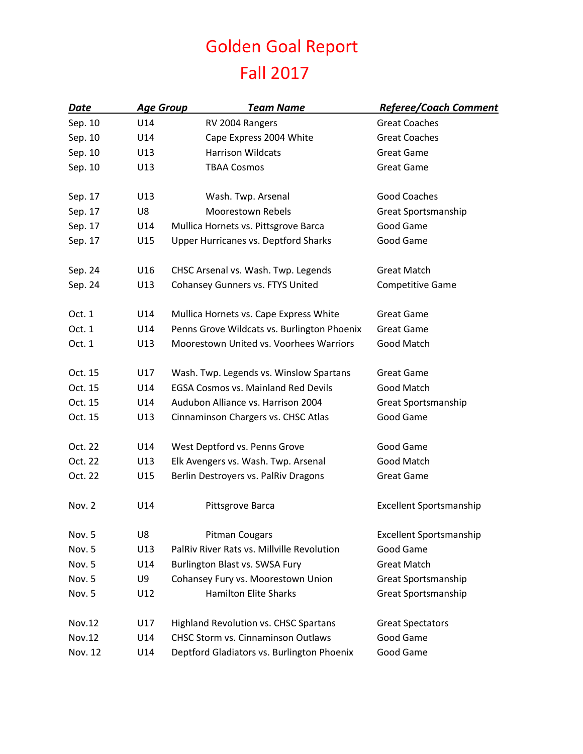## Golden Goal Report Fall 2017

| Date          | <b>Age Group</b> | <b>Team Name</b>                             | <b>Referee/Coach Comment</b>   |
|---------------|------------------|----------------------------------------------|--------------------------------|
| Sep. 10       | U14              | RV 2004 Rangers                              | <b>Great Coaches</b>           |
| Sep. 10       | U14              | Cape Express 2004 White                      | <b>Great Coaches</b>           |
| Sep. 10       | U13              | <b>Harrison Wildcats</b>                     | <b>Great Game</b>              |
| Sep. 10       | U13              | <b>TBAA Cosmos</b>                           | <b>Great Game</b>              |
| Sep. 17       | U13              | Wash. Twp. Arsenal                           | Good Coaches                   |
| Sep. 17       | U8               | <b>Moorestown Rebels</b>                     | Great Sportsmanship            |
| Sep. 17       | U14              | Mullica Hornets vs. Pittsgrove Barca         | Good Game                      |
| Sep. 17       | U15              | <b>Upper Hurricanes vs. Deptford Sharks</b>  | Good Game                      |
|               |                  |                                              |                                |
| Sep. 24       | U16              | CHSC Arsenal vs. Wash. Twp. Legends          | <b>Great Match</b>             |
| Sep. 24       | U13              | Cohansey Gunners vs. FTYS United             | <b>Competitive Game</b>        |
| Oct. 1        | U14              | Mullica Hornets vs. Cape Express White       | <b>Great Game</b>              |
| Oct. 1        | U14              | Penns Grove Wildcats vs. Burlington Phoenix  | <b>Great Game</b>              |
| Oct. 1        | U13              | Moorestown United vs. Voorhees Warriors      | Good Match                     |
| Oct. 15       | U17              | Wash. Twp. Legends vs. Winslow Spartans      | <b>Great Game</b>              |
| Oct. 15       | U14              | <b>EGSA Cosmos vs. Mainland Red Devils</b>   | Good Match                     |
| Oct. 15       | U14              | Audubon Alliance vs. Harrison 2004           | Great Sportsmanship            |
| Oct. 15       | U13              | Cinnaminson Chargers vs. CHSC Atlas          | Good Game                      |
| Oct. 22       | U14              | West Deptford vs. Penns Grove                | Good Game                      |
| Oct. 22       | U13              | Elk Avengers vs. Wash. Twp. Arsenal          | Good Match                     |
| Oct. 22       | U15              | Berlin Destroyers vs. PalRiv Dragons         | <b>Great Game</b>              |
| Nov. 2        | U14              | Pittsgrove Barca                             | <b>Excellent Sportsmanship</b> |
| Nov. 5        | U8               | <b>Pitman Cougars</b>                        | <b>Excellent Sportsmanship</b> |
| Nov. 5        | U13              | PalRiv River Rats vs. Millville Revolution   | Good Game                      |
| Nov. 5        | U14              | Burlington Blast vs. SWSA Fury               | <b>Great Match</b>             |
| Nov. 5        | U9               | Cohansey Fury vs. Moorestown Union           | Great Sportsmanship            |
| Nov. 5        | U12              | <b>Hamilton Elite Sharks</b>                 | <b>Great Sportsmanship</b>     |
| <b>Nov.12</b> | U17              | <b>Highland Revolution vs. CHSC Spartans</b> | <b>Great Spectators</b>        |
| Nov.12        | U14              | <b>CHSC Storm vs. Cinnaminson Outlaws</b>    | Good Game                      |
| Nov. 12       | U14              | Deptford Gladiators vs. Burlington Phoenix   | Good Game                      |